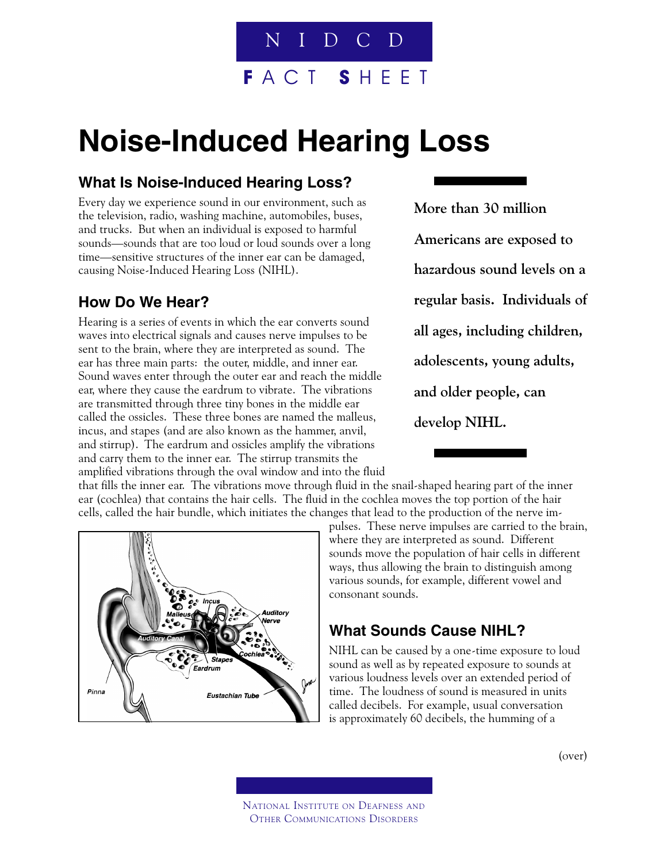

# **Noise-Induced Hearing Loss**

#### **What Is Noise-Induced Hearing Loss?**

Every day we experience sound in our environment, such as the television, radio, washing machine, automobiles, buses, and trucks. But when an individual is exposed to harmful sounds—sounds that are too loud or loud sounds over a long time—sensitive structures of the inner ear can be damaged, causing Noise-Induced Hearing Loss (NIHL).

## **How Do We Hear?**

Hearing is a series of events in which the ear converts sound waves into electrical signals and causes nerve impulses to be sent to the brain, where they are interpreted as sound. The ear has three main parts: the outer, middle, and inner ear. Sound waves enter through the outer ear and reach the middle ear, where they cause the eardrum to vibrate. The vibrations are transmitted through three tiny bones in the middle ear called the ossicles. These three bones are named the malleus, incus, and stapes (and are also known as the hammer, anvil, and stirrup). The eardrum and ossicles amplify the vibrations and carry them to the inner ear. The stirrup transmits the amplified vibrations through the oval window and into the fluid **More than 30 million Americans are exposed to hazardous sound levels on a regular basis. Individuals of all ages, including children, adolescents, young adults, and older people, can develop NIHL.**

that fills the inner ear. The vibrations move through fluid in the snail-shaped hearing part of the inner ear (cochlea) that contains the hair cells. The fluid in the cochlea moves the top portion of the hair cells, called the hair bundle, which initiates the changes that lead to the production of the nerve im-



pulses. These nerve impulses are carried to the brain, where they are interpreted as sound. Different sounds move the population of hair cells in different ways, thus allowing the brain to distinguish among various sounds, for example, different vowel and consonant sounds.

## **What Sounds Cause NIHL?**

NIHL can be caused by a one-time exposure to loud sound as well as by repeated exposure to sounds at various loudness levels over an extended period of time. The loudness of sound is measured in units called decibels. For example, usual conversation is approximately 60 decibels, the humming of a

(over)

NATIONAL INSTITUTE ON DEAFNESS AND OTHER COMMUNICATIONS DISORDERS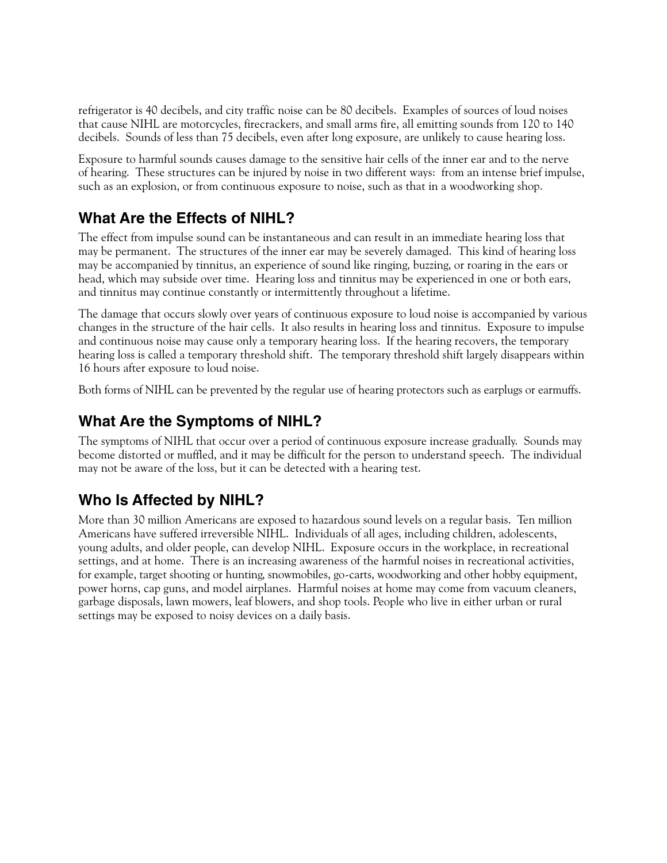refrigerator is 40 decibels, and city traffic noise can be 80 decibels. Examples of sources of loud noises that cause NIHL are motorcycles, firecrackers, and small arms fire, all emitting sounds from 120 to 140 decibels. Sounds of less than 75 decibels, even after long exposure, are unlikely to cause hearing loss.

Exposure to harmful sounds causes damage to the sensitive hair cells of the inner ear and to the nerve of hearing. These structures can be injured by noise in two different ways: from an intense brief impulse, such as an explosion, or from continuous exposure to noise, such as that in a woodworking shop.

#### **What Are the Effects of NIHL?**

The effect from impulse sound can be instantaneous and can result in an immediate hearing loss that may be permanent. The structures of the inner ear may be severely damaged. This kind of hearing loss may be accompanied by tinnitus, an experience of sound like ringing, buzzing, or roaring in the ears or head, which may subside over time. Hearing loss and tinnitus may be experienced in one or both ears, and tinnitus may continue constantly or intermittently throughout a lifetime.

The damage that occurs slowly over years of continuous exposure to loud noise is accompanied by various changes in the structure of the hair cells. It also results in hearing loss and tinnitus. Exposure to impulse and continuous noise may cause only a temporary hearing loss. If the hearing recovers, the temporary hearing loss is called a temporary threshold shift. The temporary threshold shift largely disappears within 16 hours after exposure to loud noise.

Both forms of NIHL can be prevented by the regular use of hearing protectors such as earplugs or earmuffs.

#### **What Are the Symptoms of NIHL?**

The symptoms of NIHL that occur over a period of continuous exposure increase gradually. Sounds may become distorted or muffled, and it may be difficult for the person to understand speech. The individual may not be aware of the loss, but it can be detected with a hearing test.

#### **Who Is Affected by NIHL?**

More than 30 million Americans are exposed to hazardous sound levels on a regular basis. Ten million Americans have suffered irreversible NIHL. Individuals of all ages, including children, adolescents, young adults, and older people, can develop NIHL. Exposure occurs in the workplace, in recreational settings, and at home. There is an increasing awareness of the harmful noises in recreational activities, for example, target shooting or hunting, snowmobiles, go-carts, woodworking and other hobby equipment, power horns, cap guns, and model airplanes. Harmful noises at home may come from vacuum cleaners, garbage disposals, lawn mowers, leaf blowers, and shop tools. People who live in either urban or rural settings may be exposed to noisy devices on a daily basis.